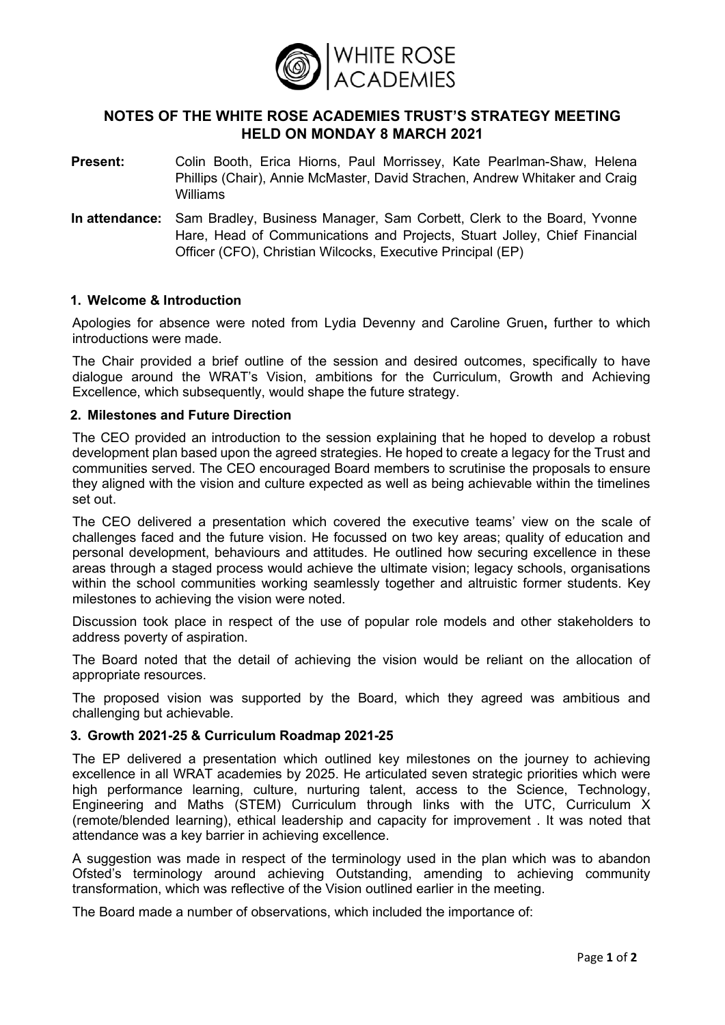

# **NOTES OF THE WHITE ROSE ACADEMIES TRUST'S STRATEGY MEETING HELD ON MONDAY 8 MARCH 2021**

- **Present:** Colin Booth, Erica Hiorns, Paul Morrissey, Kate Pearlman-Shaw, Helena Phillips (Chair), Annie McMaster, David Strachen, Andrew Whitaker and Craig Williams
- **In attendance:** Sam Bradley, Business Manager, Sam Corbett, Clerk to the Board, Yvonne Hare, Head of Communications and Projects, Stuart Jolley, Chief Financial Officer (CFO), Christian Wilcocks, Executive Principal (EP)

## **1. Welcome & Introduction**

Apologies for absence were noted from Lydia Devenny and Caroline Gruen**,** further to which introductions were made.

The Chair provided a brief outline of the session and desired outcomes, specifically to have dialogue around the WRAT's Vision, ambitions for the Curriculum, Growth and Achieving Excellence, which subsequently, would shape the future strategy.

### **2. Milestones and Future Direction**

The CEO provided an introduction to the session explaining that he hoped to develop a robust development plan based upon the agreed strategies. He hoped to create a legacy for the Trust and communities served. The CEO encouraged Board members to scrutinise the proposals to ensure they aligned with the vision and culture expected as well as being achievable within the timelines set out.

The CEO delivered a presentation which covered the executive teams' view on the scale of challenges faced and the future vision. He focussed on two key areas; quality of education and personal development, behaviours and attitudes. He outlined how securing excellence in these areas through a staged process would achieve the ultimate vision; legacy schools, organisations within the school communities working seamlessly together and altruistic former students. Key milestones to achieving the vision were noted.

Discussion took place in respect of the use of popular role models and other stakeholders to address poverty of aspiration.

The Board noted that the detail of achieving the vision would be reliant on the allocation of appropriate resources.

The proposed vision was supported by the Board, which they agreed was ambitious and challenging but achievable.

#### **3. Growth 2021-25 & Curriculum Roadmap 2021-25**

The EP delivered a presentation which outlined key milestones on the journey to achieving excellence in all WRAT academies by 2025. He articulated seven strategic priorities which were high performance learning, culture, nurturing talent, access to the Science, Technology, Engineering and Maths (STEM) Curriculum through links with the UTC, Curriculum X (remote/blended learning), ethical leadership and capacity for improvement . It was noted that attendance was a key barrier in achieving excellence.

A suggestion was made in respect of the terminology used in the plan which was to abandon Ofsted's terminology around achieving Outstanding, amending to achieving community transformation, which was reflective of the Vision outlined earlier in the meeting.

The Board made a number of observations, which included the importance of: